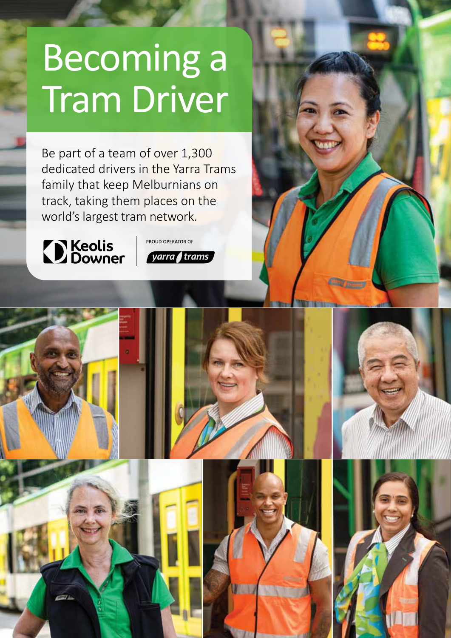# Becoming a Tram Driver

Be part of a team of over 1,300 dedicated drivers in the Yarra Trams family that keep Melburnians on track, taking them places on the world's largest tram network.



PROUD OPERATOR OF